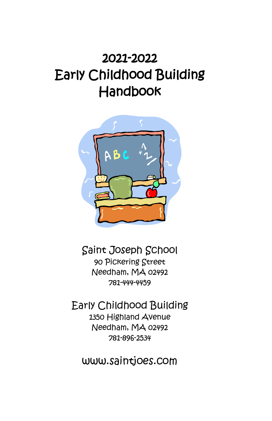# 2021-2022 Early Childhood Building Handbook



Saint Joseph School 90 Pickering Street Needham, MA 02492 781-444-4459

Early Childhood Building 1350 Highland Avenue Needham, MA 02492 781-896-2534

www.saintjoes.com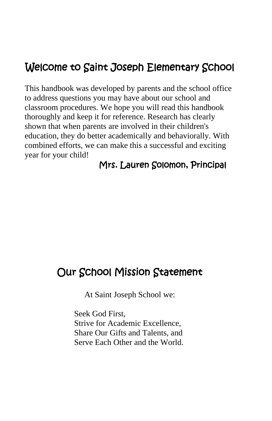### Welcome to Saint Joseph Elementary School

This handbook was developed by parents and the school office to address questions you may have about our school and classroom procedures. We hope you will read this handbook thoroughly and keep it for reference. Research has clearly shown that when parents are involved in their children's education, they do better academically and behaviorally. With combined efforts, we can make this a successful and exciting year for your child!

#### Mrs. Lauren Solomon, Principal

#### Our School Mission Statement

At Saint Joseph School we:

Seek God First, Strive for Academic Excellence, Share Our Gifts and Talents, and Serve Each Other and the World.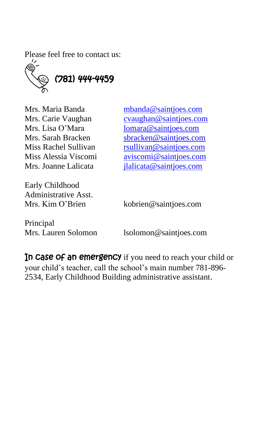Please feel free to contact us:



Mrs. Maria Banda [mbanda@saintjoes.com](mailto:mbanda@saintjoes.com) Mrs. Carie Vaughan [cvaughan@saintjoes.com](mailto:cvaughan@saintjoes.com) Mrs. Lisa O'Mara [lomara@saintjoes.com](mailto:lomara@saintjoes.com) Mrs. Sarah Bracken [sbracken@saintjoes.com](mailto:sbracken@saintjoes.com) Miss Rachel Sullivan [rsullivan@saintjoes.com](mailto:rsullivan@saintjoes.com) Miss Alessia Viscomi [aviscomi@saintjoes.com](mailto:aviscomi@saintjoes.com) Mrs. Joanne Lalicata *[jlalicata@saintjoes.com](mailto:jlalicata@saintjoes.com)* 

Early Childhood Administrative Asst.

Mrs. Kim O'Brien kobrien@saintjoes.com

Principal

Mrs. Lauren Solomon lsolomon@saintjoes.com

In case of an emergency if you need to reach your child or your child's teacher, call the school's main number 781-896- 2534, Early Childhood Building administrative assistant.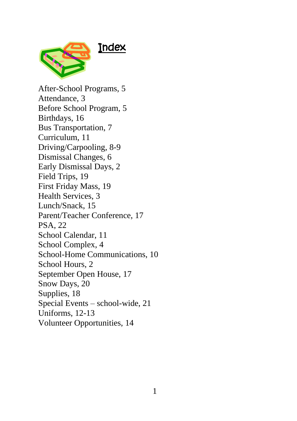

After-School Programs, 5 Attendance, 3 Before School Program, 5 Birthdays, 16 Bus Transportation, 7 Curriculum, 11 Driving/Carpooling, 8-9 Dismissal Changes, 6 Early Dismissal Days, 2 Field Trips, 19 First Friday Mass, 19 Health Services, 3 Lunch/Snack, 15 Parent/Teacher Conference, 17 PSA, 22 School Calendar, 11 School Complex, 4 School-Home Communications, 10 School Hours, 2 September Open House, 17 Snow Days, 20 Supplies, 18 Special Events – school-wide, 21 Uniforms, 12-13 Volunteer Opportunities, 14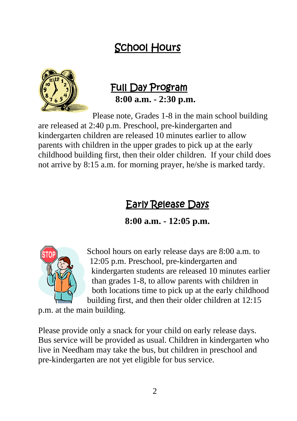### School Hours



#### Full Day Program **8:00 a.m. - 2:30 p.m.**

Please note, Grades 1-8 in the main school building are released at 2:40 p.m. Preschool, pre-kindergarten and kindergarten children are released 10 minutes earlier to allow parents with children in the upper grades to pick up at the early childhood building first, then their older children. If your child does not arrive by 8:15 a.m. for morning prayer, he/she is marked tardy.

### Early Release Days

**8:00 a.m. - 12:05 p.m.**



School hours on early release days are 8:00 a.m. to 12:05 p.m. Preschool, pre-kindergarten and kindergarten students are released 10 minutes earlier than grades 1-8, to allow parents with children in both locations time to pick up at the early childhood building first, and then their older children at 12:15

p.m. at the main building.

Please provide only a snack for your child on early release days. Bus service will be provided as usual. Children in kindergarten who live in Needham may take the bus, but children in preschool and pre-kindergarten are not yet eligible for bus service.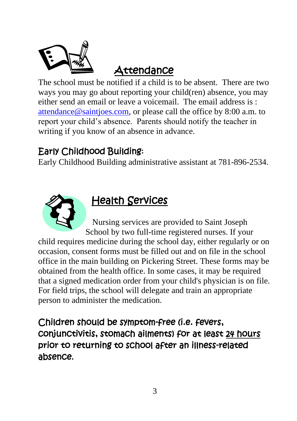

### **Attendance**

The school must be notified if a child is to be absent. There are two ways you may go about reporting your child(ren) absence, you may either send an email or leave a voicemail. The email address is  $\cdot$ [attendance@saintjoes.com,](mailto:attendance@saintjoes.com) or please call the office by 8:00 a.m. to report your child's absence. Parents should notify the teacher in writing if you know of an absence in advance.

#### Early Childhood Building:

Early Childhood Building administrative assistant at 781-896-2534.



### Health Services

Nursing services are provided to Saint Joseph School by two full-time registered nurses. If your

child requires medicine during the school day, either regularly or on occasion, consent forms must be filled out and on file in the school office in the main building on Pickering Street. These forms may be obtained from the health office. In some cases, it may be required that a signed medication order from your child's physician is on file. For field trips, the school will delegate and train an appropriate person to administer the medication.

Children should be symptom-free (i.e. fevers, conjunctivitis, stomach ailments) for at least 24 hours prior to returning to school after an illness-related absence**.**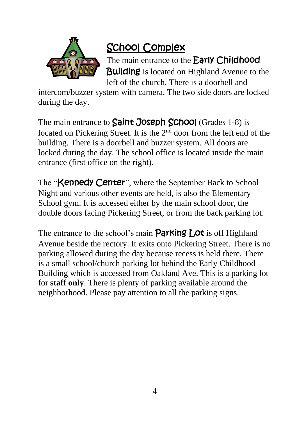

### School Complex

The main entrance to the **Early Childhood Building** is located on Highland Avenue to the left of the church. There is a doorbell and

intercom/buzzer system with camera. The two side doors are locked during the day.

The main entrance to **Saint Joseph School** (Grades 1-8) is located on Pickering Street. It is the 2<sup>nd</sup> door from the left end of the building. There is a doorbell and buzzer system. All doors are locked during the day. The school office is located inside the main entrance (first office on the right).

The "**Kennedy Center**", where the September Back to School Night and various other events are held, is also the Elementary School gym. It is accessed either by the main school door, the double doors facing Pickering Street, or from the back parking lot.

The entrance to the school's main **Parking Lot** is off Highland Avenue beside the rectory. It exits onto Pickering Street. There is no parking allowed during the day because recess is held there. There is a small school/church parking lot behind the Early Childhood Building which is accessed from Oakland Ave. This is a parking lot for **staff only**. There is plenty of parking available around the neighborhood. Please pay attention to all the parking signs.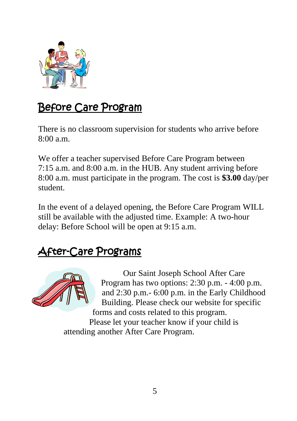

### Before Care Program

There is no classroom supervision for students who arrive before  $8:00a \text{ m}$ 

We offer a teacher supervised Before Care Program between 7:15 a.m. and 8:00 a.m. in the HUB. Any student arriving before 8:00 a.m. must participate in the program. The cost is **\$3.00** day/per student.

In the event of a delayed opening, the Before Care Program WILL still be available with the adjusted time. Example: A two-hour delay: Before School will be open at 9:15 a.m.

### After-Care Programs



Our Saint Joseph School After Care Program has two options: 2:30 p.m. - 4:00 p.m. and 2:30 p.m.- 6:00 p.m. in the Early Childhood Building. Please check our website for specific forms and costs related to this program.

Please let your teacher know if your child is attending another After Care Program.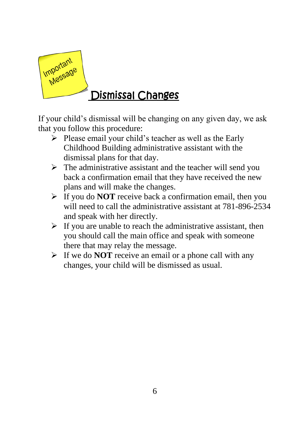

### Dismissal Changes

If your child's dismissal will be changing on any given day, we ask that you follow this procedure:

- ➢ Please email your child's teacher as well as the Early Childhood Building administrative assistant with the dismissal plans for that day.
- $\triangleright$  The administrative assistant and the teacher will send you back a confirmation email that they have received the new plans and will make the changes.
- ➢ If you do **NOT** receive back a confirmation email, then you will need to call the administrative assistant at 781-896-2534 and speak with her directly.
- $\triangleright$  If you are unable to reach the administrative assistant, then you should call the main office and speak with someone there that may relay the message.
- ➢ If we do **NOT** receive an email or a phone call with any changes, your child will be dismissed as usual.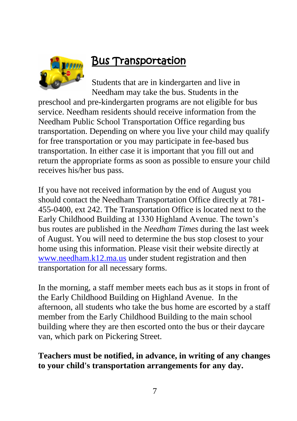

### Bus Transportation

Students that are in kindergarten and live in Needham may take the bus. Students in the

preschool and pre-kindergarten programs are not eligible for bus service. Needham residents should receive information from the Needham Public School Transportation Office regarding bus transportation. Depending on where you live your child may qualify for free transportation or you may participate in fee-based bus transportation. In either case it is important that you fill out and return the appropriate forms as soon as possible to ensure your child receives his/her bus pass.

If you have not received information by the end of August you should contact the Needham Transportation Office directly at 781- 455-0400, ext 242. The Transportation Office is located next to the Early Childhood Building at 1330 Highland Avenue. The town's bus routes are published in the *Needham Times* during the last week of August. You will need to determine the bus stop closest to your home using this information. Please visit their website directly at [www.needham.k12.ma.us](http://www.needham.k12.ma.us/) under student registration and then transportation for all necessary forms.

In the morning, a staff member meets each bus as it stops in front of the Early Childhood Building on Highland Avenue. In the afternoon, all students who take the bus home are escorted by a staff member from the Early Childhood Building to the main school building where they are then escorted onto the bus or their daycare van, which park on Pickering Street.

#### **Teachers must be notified, in advance, in writing of any changes to your child's transportation arrangements for any day.**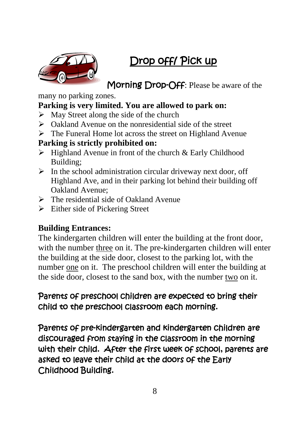### Drop off/ Pick up



Morning Drop-Off: Please be aware of the

many no parking zones.

#### **Parking is very limited. You are allowed to park on:**

- $\triangleright$  May Street along the side of the church
- ➢ Oakland Avenue on the nonresidential side of the street
- ➢ The Funeral Home lot across the street on Highland Avenue

#### **Parking is strictly prohibited on:**

- $\triangleright$  Highland Avenue in front of the church & Early Childhood Building;
- $\triangleright$  In the school administration circular driveway next door, off Highland Ave, and in their parking lot behind their building off Oakland Avenue;
- ➢ The residential side of Oakland Avenue
- $\triangleright$  Either side of Pickering Street

#### **Building Entrances:**

The kindergarten children will enter the building at the front door, with the number three on it. The pre-kindergarten children will enter the building at the side door, closest to the parking lot, with the number one on it. The preschool children will enter the building at the side door, closest to the sand box, with the number two on it.

#### Parents of preschool children are expected to bring their child to the preschool classroom each morning.

Parents of pre-kindergarten and kindergarten children are discouraged from staying in the classroom in the morning with their child. After the first week of school, parents are asked to leave their child at the doors of the Early Childhood Building.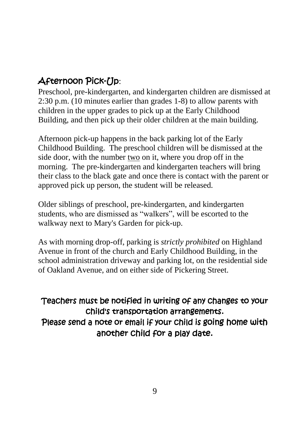#### Afternoon Pick-Up:

Preschool, pre-kindergarten, and kindergarten children are dismissed at 2:30 p.m. (10 minutes earlier than grades 1-8) to allow parents with children in the upper grades to pick up at the Early Childhood Building, and then pick up their older children at the main building.

Afternoon pick-up happens in the back parking lot of the Early Childhood Building. The preschool children will be dismissed at the side door, with the number two on it, where you drop off in the morning. The pre-kindergarten and kindergarten teachers will bring their class to the black gate and once there is contact with the parent or approved pick up person, the student will be released.

Older siblings of preschool, pre-kindergarten, and kindergarten students, who are dismissed as "walkers", will be escorted to the walkway next to Mary's Garden for pick-up.

As with morning drop-off, parking is *strictly prohibited* on Highland Avenue in front of the church and Early Childhood Building, in the school administration driveway and parking lot, on the residential side of Oakland Avenue, and on either side of Pickering Street.

Teachers must be notified in writing of any changes to your child's transportation arrangements. Please send a note or email if your child is going home with another child for a play date.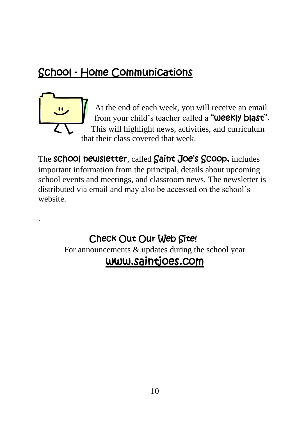### School - Home Communications

.

At the end of each week, you will receive an email from your child's teacher called a "**Weekly blast".** This will highlight news, activities, and curriculum that their class covered that week.

The **school newsletter**, called **Saint Joe's Scoop,** includes important information from the principal, details about upcoming school events and meetings, and classroom news. The newsletter is distributed via email and may also be accessed on the school's website.

#### Check Out Our Web Site! For announcements & updates during the school year [www.saintjoes.com](http://www.saintjoes.com/)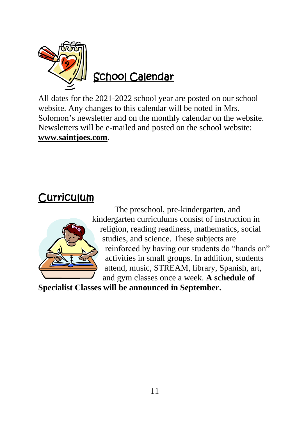

All dates for the 2021-2022 school year are posted on our school website. Any changes to this calendar will be noted in Mrs. Solomon's newsletter and on the monthly calendar on the website. Newsletters will be e-mailed and posted on the school website: **[www.saintjoes.com](http://www.saintjoes.com/)**.

### **Curriculum**



The preschool, pre-kindergarten, and kindergarten curriculums consist of instruction in religion, reading readiness, mathematics, social studies, and science. These subjects are reinforced by having our students do "hands on" activities in small groups. In addition, students attend, music, STREAM, library, Spanish, art, and gym classes once a week. **A schedule of** 

**Specialist Classes will be announced in September.**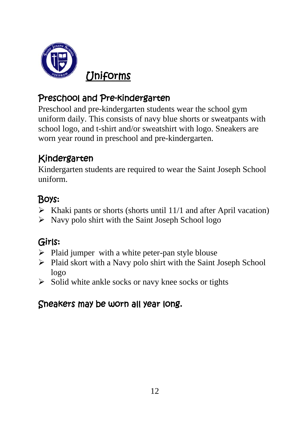

#### Preschool and Pre-kindergarten

Preschool and pre-kindergarten students wear the school gym uniform daily. This consists of navy blue shorts or sweatpants with school logo, and t-shirt and/or sweatshirt with logo. Sneakers are worn year round in preschool and pre-kindergarten.

#### Kindergarten

Kindergarten students are required to wear the Saint Joseph School uniform.

### Boys:

- $\triangleright$  Khaki pants or shorts (shorts until 11/1 and after April vacation)
- $\triangleright$  Navy polo shirt with the Saint Joseph School logo

### Girls:

- $\triangleright$  Plaid jumper with a white peter-pan style blouse
- ➢ Plaid skort with a Navy polo shirt with the Saint Joseph School logo
- $\triangleright$  Solid white ankle socks or navy knee socks or tights

#### Sneakers may be worn all year long.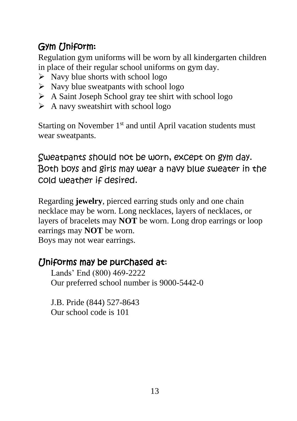### Gym Uniform:

Regulation gym uniforms will be worn by all kindergarten children in place of their regular school uniforms on gym day.

- $\triangleright$  Navy blue shorts with school logo
- $\triangleright$  Navy blue sweatpants with school logo
- ➢ A Saint Joseph School gray tee shirt with school logo
- $\triangleright$  A navy sweatshirt with school logo

Starting on November  $1<sup>st</sup>$  and until April vacation students must wear sweatpants.

Sweatpants should not be worn, except on gym day. Both boys and girls may wear a navy blue sweater in the cold weather if desired.

Regarding **jewelry**, pierced earring studs only and one chain necklace may be worn. Long necklaces, layers of necklaces, or layers of bracelets may **NOT** be worn. Long drop earrings or loop earrings may **NOT** be worn. Boys may not wear earrings.

#### Uniforms may be purchased at:

Lands' End (800) 469-2222 Our preferred school number is 9000-5442-0

J.B. Pride (844) 527-8643 Our school code is 101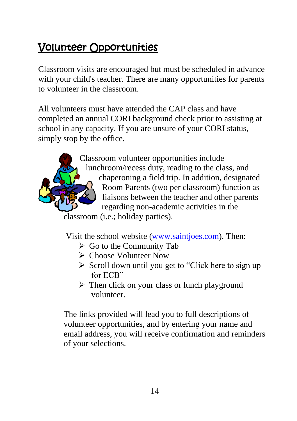### Volunteer Opportunities

Classroom visits are encouraged but must be scheduled in advance with your child's teacher. There are many opportunities for parents to volunteer in the classroom.

All volunteers must have attended the CAP class and have completed an annual CORI background check prior to assisting at school in any capacity. If you are unsure of your CORI status, simply stop by the office.



Classroom volunteer opportunities include lunchroom/recess duty, reading to the class, and chaperoning a field trip. In addition, designated Room Parents (two per classroom) function as liaisons between the teacher and other parents regarding non-academic activities in the

classroom (i.e.; holiday parties).

Visit the school website [\(www.saintjoes.com\)](http://www.saintjoes.com/). Then:

- $\triangleright$  Go to the Community Tab
- ➢ Choose Volunteer Now
- ➢ Scroll down until you get to "Click here to sign up for ECB"
- ➢ Then click on your class or lunch playground volunteer.

The links provided will lead you to full descriptions of volunteer opportunities, and by entering your name and email address, you will receive confirmation and reminders of your selections.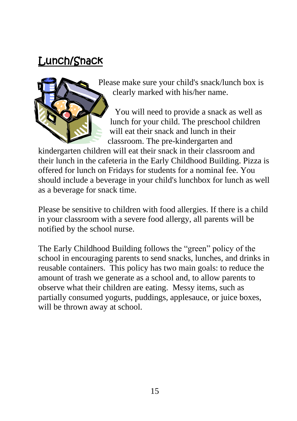### Lunch/Snack



Please make sure your child's snack/lunch box is clearly marked with his/her name.

You will need to provide a snack as well as lunch for your child. The preschool children will eat their snack and lunch in their classroom. The pre-kindergarten and

kindergarten children will eat their snack in their classroom and their lunch in the cafeteria in the Early Childhood Building. Pizza is offered for lunch on Fridays for students for a nominal fee. You should include a beverage in your child's lunchbox for lunch as well as a beverage for snack time.

Please be sensitive to children with food allergies. If there is a child in your classroom with a severe food allergy, all parents will be notified by the school nurse.

The Early Childhood Building follows the "green" policy of the school in encouraging parents to send snacks, lunches, and drinks in reusable containers. This policy has two main goals: to reduce the amount of trash we generate as a school and, to allow parents to observe what their children are eating. Messy items, such as partially consumed yogurts, puddings, applesauce, or juice boxes, will be thrown away at school.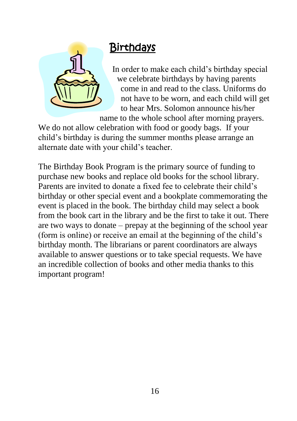

### **Birthdays**

In order to make each child's birthday special we celebrate birthdays by having parents come in and read to the class. Uniforms do not have to be worn, and each child will get to hear Mrs. Solomon announce his/her name to the whole school after morning prayers.

We do not allow celebration with food or goody bags. If your child's birthday is during the summer months please arrange an alternate date with your child's teacher.

The Birthday Book Program is the primary source of funding to purchase new books and replace old books for the school library. Parents are invited to donate a fixed fee to celebrate their child's birthday or other special event and a bookplate commemorating the event is placed in the book. The birthday child may select a book from the book cart in the library and be the first to take it out. There are two ways to donate – prepay at the beginning of the school year (form is online) or receive an email at the beginning of the child's birthday month. The librarians or parent coordinators are always available to answer questions or to take special requests. We have an incredible collection of books and other media thanks to this important program!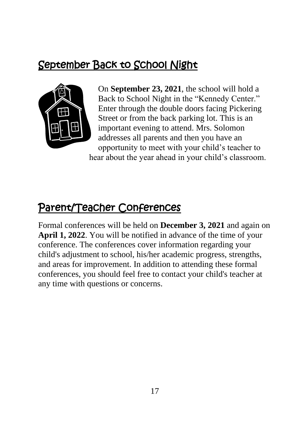### September Back to School Night



On **September 23, 2021**, the school will hold a Back to School Night in the "Kennedy Center." Enter through the double doors facing Pickering Street or from the back parking lot. This is an important evening to attend. Mrs. Solomon addresses all parents and then you have an opportunity to meet with your child's teacher to hear about the year ahead in your child's classroom.

### Parent/Teacher Conferences

Formal conferences will be held on **December 3, 2021** and again on **April 1, 2022**. You will be notified in advance of the time of your conference. The conferences cover information regarding your child's adjustment to school, his/her academic progress, strengths, and areas for improvement. In addition to attending these formal conferences, you should feel free to contact your child's teacher at any time with questions or concerns.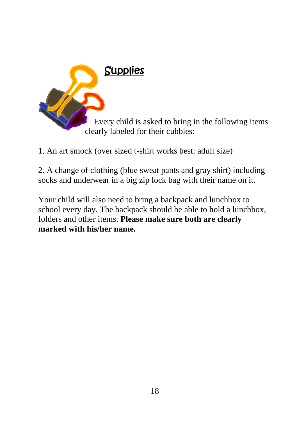

1. An art smock (over sized t-shirt works best: adult size)

2. A change of clothing (blue sweat pants and gray shirt) including socks and underwear in a big zip lock bag with their name on it.

Your child will also need to bring a backpack and lunchbox to school every day. The backpack should be able to hold a lunchbox, folders and other items. **Please make sure both are clearly marked with his/her name.**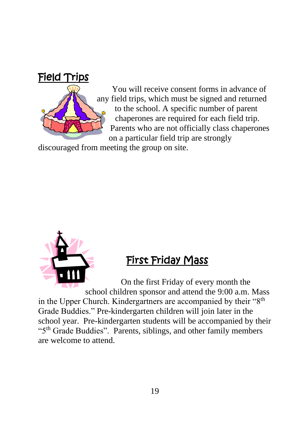

You will receive consent forms in advance of any field trips, which must be signed and returned to the school. A specific number of parent chaperones are required for each field trip. Parents who are not officially class chaperones on a particular field trip are strongly

discouraged from meeting the group on site.



### First Friday Mass

On the first Friday of every month the school children sponsor and attend the 9:00 a.m. Mass in the Upper Church. Kindergartners are accompanied by their "8<sup>th</sup> Grade Buddies." Pre-kindergarten children will join later in the school year. Pre-kindergarten students will be accompanied by their "5<sup>th</sup> Grade Buddies". Parents, siblings, and other family members are welcome to attend.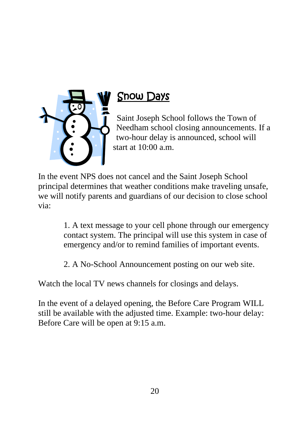

### Snow Days

Saint Joseph School follows the Town of Needham school closing announcements. If a two-hour delay is announced, school will start at 10:00 a.m.

In the event NPS does not cancel and the Saint Joseph School principal determines that weather conditions make traveling unsafe, we will notify parents and guardians of our decision to close school via:

> 1. A text message to your cell phone through our emergency contact system. The principal will use this system in case of emergency and/or to remind families of important events.

2. A No-School Announcement posting on our web site.

Watch the local TV news channels for closings and delays.

In the event of a delayed opening, the Before Care Program WILL still be available with the adjusted time. Example: two-hour delay: Before Care will be open at 9:15 a.m.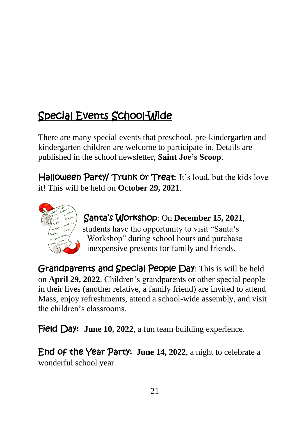## Special Events School-Wide

There are many special events that preschool, pre-kindergarten and kindergarten children are welcome to participate in. Details are published in the school newsletter, **Saint Joe's Scoop**.

Halloween Party/ Trunk or Treat: It's loud, but the kids love it! This will be held on **October 29, 2021**.



Santa's Workshop: On **December 15, 2021**, students have the opportunity to visit "Santa's Workshop" during school hours and purchase inexpensive presents for family and friends.

Grandparents and Special People Day: This is will be held on **April 29, 2022**. Children's grandparents or other special people in their lives (another relative, a family friend) are invited to attend Mass, enjoy refreshments, attend a school-wide assembly, and visit the children's classrooms.

**Field Day: June 10, 2022**, a fun team building experience.

End of the Year Party: **June 14, 2022**, a night to celebrate a wonderful school year.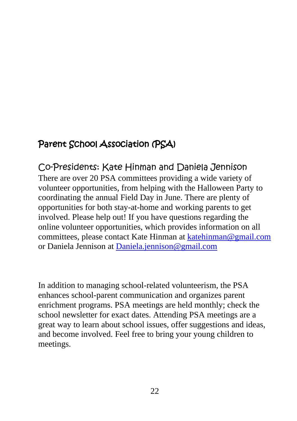#### Parent School Association (PSA)

Co-Presidents: Kate Hinman and Daniela Jennison There are over 20 PSA committees providing a wide variety of volunteer opportunities, from helping with the Halloween Party to coordinating the annual Field Day in June. There are plenty of opportunities for both stay-at-home and working parents to get involved. Please help out! If you have questions regarding the online volunteer opportunities, which provides information on all committees, please contact Kate Hinman at [katehinman@gmail.com](mailto:katehinman@gmail.com) or Daniela Jennison at [Daniela.jennison@gmail.com](mailto:Daniela.jennison@gmail.com)

In addition to managing school-related volunteerism, the PSA enhances school-parent communication and organizes parent enrichment programs. PSA meetings are held monthly; check the school newsletter for exact dates. Attending PSA meetings are a great way to learn about school issues, offer suggestions and ideas, and become involved. Feel free to bring your young children to meetings.